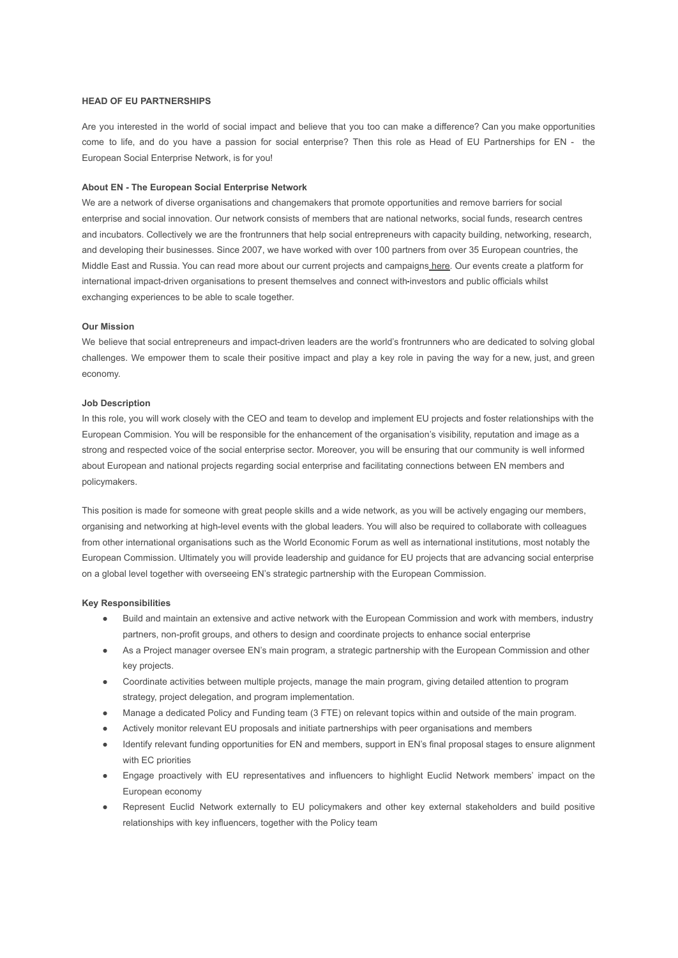### **HEAD OF EU PARTNERSHIPS**

Are you interested in the world of social impact and believe that you too can make a difference? Can you make opportunities come to life, and do you have a passion for social enterprise? Then this role as Head of EU Partnerships for EN - the European Social Enterprise Network, is for you!

#### **About EN - The European Social Enterprise Network**

We are a network of diverse organisations and changemakers that promote opportunities and remove barriers for social enterprise and social innovation. Our network consists of members that are national networks, social funds, research centres and incubators. Collectively we are the frontrunners that help social entrepreneurs with capacity building, networking, research, and developing their businesses. Since 2007, we have worked with over 100 partners from over 35 European countries, the Middle East and Russia. You can read more about our current projects and campaigns [here.](https://euclidnetwork.eu/our-actions/) Our events create a platform for international impact-driven organisations to present themselves and connect with-investors and public officials whilst exchanging experiences to be able to scale together.

#### **Our Mission**

We believe that social entrepreneurs and impact-driven leaders are the world's frontrunners who are dedicated to solving global challenges. We empower them to scale their positive impact and play a key role in paving the way for a new, just, and green economy.

## **Job Description**

In this role, you will work closely with the CEO and team to develop and implement EU projects and foster relationships with the European Commision. You will be responsible for the enhancement of the organisation's visibility, reputation and image as a strong and respected voice of the social enterprise sector. Moreover, you will be ensuring that our community is well informed about European and national projects regarding social enterprise and facilitating connections between EN members and policymakers.

This position is made for someone with great people skills and a wide network, as you will be actively engaging our members, organising and networking at high-level events with the global leaders. You will also be required to collaborate with colleagues from other international organisations such as the World Economic Forum as well as international institutions, most notably the European Commission. Ultimately you will provide leadership and guidance for EU projects that are advancing social enterprise on a global level together with overseeing EN's strategic partnership with the European Commission.

### **Key Responsibilities**

- Build and maintain an extensive and active network with the European Commission and work with members, industry partners, non-profit groups, and others to design and coordinate projects to enhance social enterprise
- As a Project manager oversee EN's main program, a strategic partnership with the European Commission and other key projects.
- Coordinate activities between multiple projects, manage the main program, giving detailed attention to program strategy, project delegation, and program implementation.
- Manage a dedicated Policy and Funding team (3 FTE) on relevant topics within and outside of the main program.
- Actively monitor relevant EU proposals and initiate partnerships with peer organisations and members
- Identify relevant funding opportunities for EN and members, support in EN's final proposal stages to ensure alignment with EC priorities
- Engage proactively with EU representatives and influencers to highlight Euclid Network members' impact on the European economy
- Represent Euclid Network externally to EU policymakers and other key external stakeholders and build positive relationships with key influencers, together with the Policy team